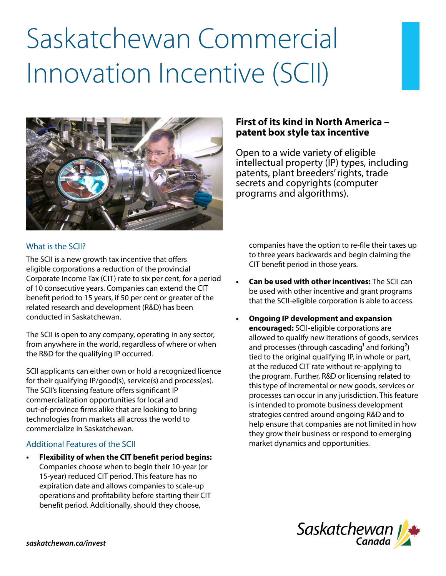# Saskatchewan Commercial Innovation Incentive (SCII)



## **First of its kind in North America – patent box style tax incentive**

Open to a wide variety of eligible intellectual property (IP) types, including patents, plant breeders' rights, trade secrets and copyrights (computer programs and algorithms).

## What is the SCII?

The SCII is a new growth tax incentive that offers eligible corporations a reduction of the provincial Corporate Income Tax (CIT) rate to six per cent, for a period of 10 consecutive years. Companies can extend the CIT benefit period to 15 years, if 50 per cent or greater of the related research and development (R&D) has been conducted in Saskatchewan.

The SCII is open to any company, operating in any sector, from anywhere in the world, regardless of where or when the R&D for the qualifying IP occurred.

SCII applicants can either own or hold a recognized licence for their qualifying IP/good(s), service(s) and process(es). The SCII's licensing feature offers significant IP commercialization opportunities for local and out-of-province firms alike that are looking to bring technologies from markets all across the world to commercialize in Saskatchewan.

## Additional Features of the SCII

**• Flexibility of when the CIT benefit period begins:** Companies choose when to begin their 10-year (or 15-year) reduced CIT period. This feature has no expiration date and allows companies to scale-up operations and profitability before starting their CIT benefit period. Additionally, should they choose,

companies have the option to re-file their taxes up to three years backwards and begin claiming the CIT benefit period in those years.

- **• Can be used with other incentives:** The SCII can be used with other incentive and grant programs that the SCII-eligible corporation is able to access.
- **• Ongoing IP development and expansion encouraged:** SCII-eligible corporations are allowed to qualify new iterations of goods, services and processes (through cascading<sup>1</sup> and forking<sup>2</sup>) tied to the original qualifying IP, in whole or part, at the reduced CIT rate without re-applying to the program. Further, R&D or licensing related to this type of incremental or new goods, services or processes can occur in any jurisdiction. This feature is intended to promote business development strategies centred around ongoing R&D and to help ensure that companies are not limited in how they grow their business or respond to emerging market dynamics and opportunities.